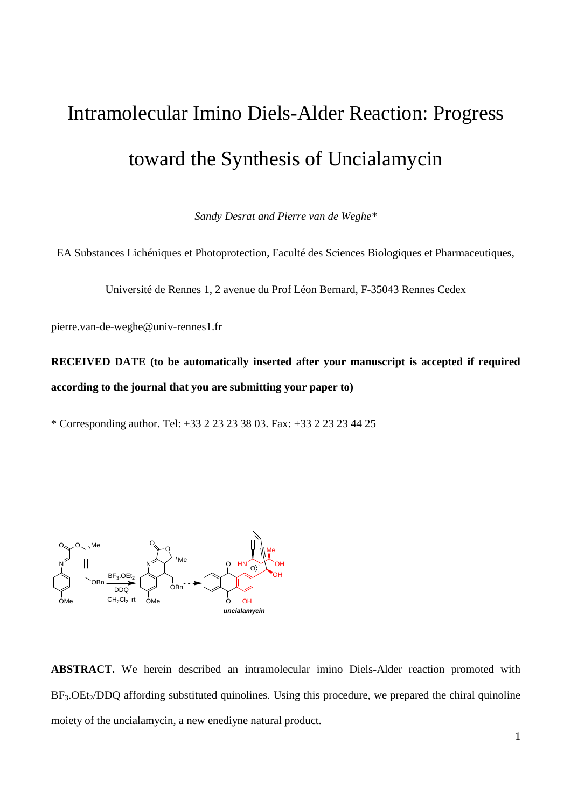# Intramolecular Imino Diels-Alder Reaction: Progress toward the Synthesis of Uncialamycin

*Sandy Desrat and Pierre van de Weghe\**

EA Substances Lichéniques et Photoprotection, Faculté des Sciences Biologiques et Pharmaceutiques,

Université de Rennes 1, 2 avenue du Prof Léon Bernard, F-35043 Rennes Cedex

pierre.van-de-weghe@univ-rennes1.fr

**RECEIVED DATE (to be automatically inserted after your manuscript is accepted if required according to the journal that you are submitting your paper to)**

\* Corresponding author. Tel: +33 2 23 23 38 03. Fax: +33 2 23 23 44 25



**ABSTRACT.** We herein described an intramolecular imino Diels-Alder reaction promoted with  $BF_3$ . $OE_2/DDO$  affording substituted quinolines. Using this procedure, we prepared the chiral quinoline moiety of the uncialamycin, a new enediyne natural product.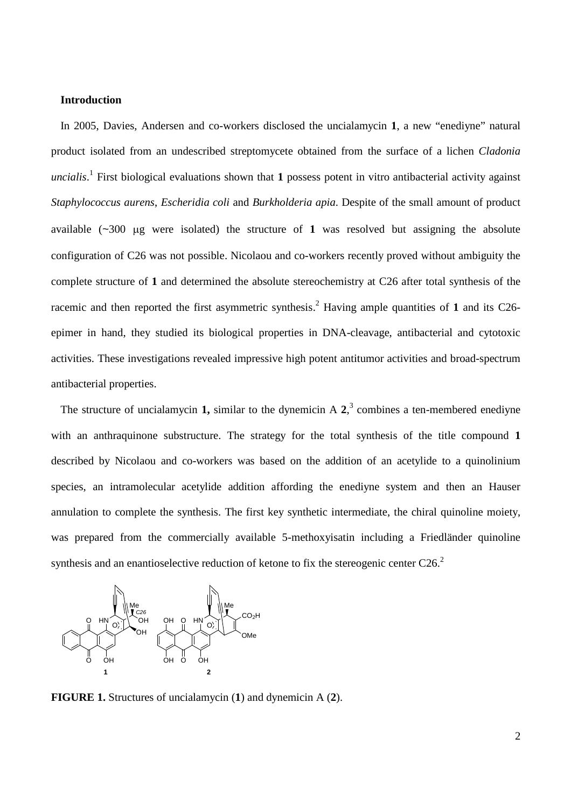# **Introduction**

In 2005, Davies, Andersen and co-workers disclosed the uncialamycin **1**, a new "enediyne" natural product isolated from an undescribed streptomycete obtained from the surface of a lichen *Cladonia uncialis*. 1 First biological evaluations shown that **1** possess potent in vitro antibacterial activity against *Staphylococcus aurens*, *Escheridia coli* and *Burkholderia apia*. Despite of the small amount of product available  $(\sim 300 \text{ µg}$  were isolated) the structure of 1 was resolved but assigning the absolute configuration of C26 was not possible. Nicolaou and co-workers recently proved without ambiguity the complete structure of **1** and determined the absolute stereochemistry at C26 after total synthesis of the racemic and then reported the first asymmetric synthesis. <sup>2</sup> Having ample quantities of **1** and its C26 epimer in hand, they studied its biological properties in DNA-cleavage, antibacterial and cytotoxic activities. These investigations revealed impressive high potent antitumor activities and broad-spectrum antibacterial properties.

The structure of uncialamycin **1,** similar to the dynemicin A **2**, 3 combines a ten-membered enediyne with an anthraquinone substructure. The strategy for the total synthesis of the title compound **1** described by Nicolaou and co-workers was based on the addition of an acetylide to a quinolinium species, an intramolecular acetylide addition affording the enediyne system and then an Hauser annulation to complete the synthesis. The first key synthetic intermediate, the chiral quinoline moiety, was prepared from the commercially available 5-methoxyisatin including a Friedländer quinoline synthesis and an enantioselective reduction of ketone to fix the stereogenic center  $C26$ <sup>2</sup>



**FIGURE 1.** Structures of uncialamycin (**1**) and dynemicin A (**2**).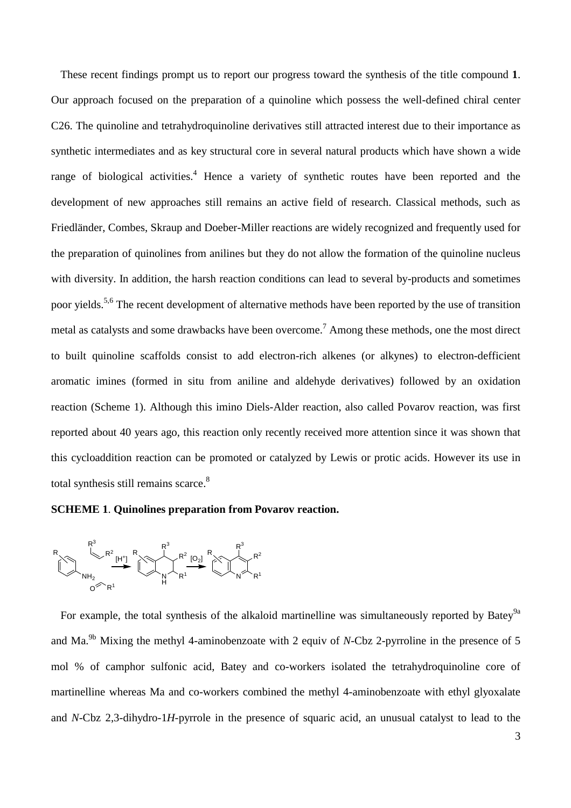These recent findings prompt us to report our progress toward the synthesis of the title compound **1**. Our approach focused on the preparation of a quinoline which possess the well-defined chiral center C26. The quinoline and tetrahydroquinoline derivatives still attracted interest due to their importance as synthetic intermediates and as key structural core in several natural products which have shown a wide range of biological activities.<sup>4</sup> Hence a variety of synthetic routes have been reported and the development of new approaches still remains an active field of research. Classical methods, such as Friedländer, Combes, Skraup and Doeber-Miller reactions are widely recognized and frequently used for the preparation of quinolines from anilines but they do not allow the formation of the quinoline nucleus with diversity. In addition, the harsh reaction conditions can lead to several by-products and sometimes poor vields.<sup>5,6</sup> The recent development of alternative methods have been reported by the use of transition metal as catalysts and some drawbacks have been overcome.<sup>7</sup> Among these methods, one the most direct to built quinoline scaffolds consist to add electron-rich alkenes (or alkynes) to electron-defficient aromatic imines (formed in situ from aniline and aldehyde derivatives) followed by an oxidation reaction (Scheme 1). Although this imino Diels-Alder reaction, also called Povarov reaction, was first reported about 40 years ago, this reaction only recently received more attention since it was shown that this cycloaddition reaction can be promoted or catalyzed by Lewis or protic acids. However its use in total synthesis still remains scarce.<sup>8</sup>

# **SCHEME 1**. **Quinolines preparation from Povarov reaction.**



For example, the total synthesis of the alkaloid martinelline was simultaneously reported by Batey<sup>9a</sup> and Ma.<sup>9b</sup> Mixing the methyl 4-aminobenzoate with 2 equiv of *N*-Cbz 2-pyrroline in the presence of 5 mol % of camphor sulfonic acid, Batey and co-workers isolated the tetrahydroquinoline core of martinelline whereas Ma and co-workers combined the methyl 4-aminobenzoate with ethyl glyoxalate and *N*-Cbz 2,3-dihydro-1*H*-pyrrole in the presence of squaric acid, an unusual catalyst to lead to the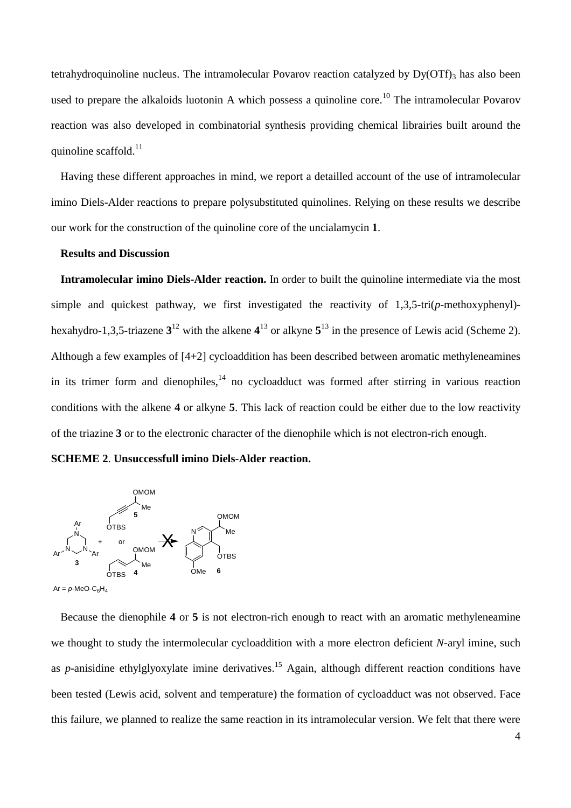tetrahydroquinoline nucleus. The intramolecular Povarov reaction catalyzed by  $Dy(OTf)_{3}$  has also been used to prepare the alkaloids luotonin A which possess a quinoline core.<sup>10</sup> The intramolecular Povarov reaction was also developed in combinatorial synthesis providing chemical librairies built around the quinoline scaffold.<sup>11</sup>

Having these different approaches in mind, we report a detailled account of the use of intramolecular imino Diels-Alder reactions to prepare polysubstituted quinolines. Relying on these results we describe our work for the construction of the quinoline core of the uncialamycin **1**.

### **Results and Discussion**

**Intramolecular imino Diels-Alder reaction.** In order to built the quinoline intermediate via the most simple and quickest pathway, we first investigated the reactivity of 1,3,5-tri(*p*-methoxyphenyl) hexahydro-1,3,5-triazene **3** <sup>12</sup> with the alkene **4** <sup>13</sup> or alkyne **5** <sup>13</sup> in the presence of Lewis acid (Scheme 2). Although a few examples of [4+2] cycloaddition has been described between aromatic methyleneamines in its trimer form and dienophiles,<sup>14</sup> no cycloadduct was formed after stirring in various reaction conditions with the alkene **4** or alkyne **5**. This lack of reaction could be either due to the low reactivity of the triazine **3** or to the electronic character of the dienophile which is not electron-rich enough.

**SCHEME 2**. **Unsuccessfull imino Diels-Alder reaction.**



Because the dienophile **4** or **5** is not electron-rich enough to react with an aromatic methyleneamine we thought to study the intermolecular cycloaddition with a more electron deficient *N*-aryl imine, such as *p*-anisidine ethylglyoxylate imine derivatives. <sup>15</sup> Again, although different reaction conditions have been tested (Lewis acid, solvent and temperature) the formation of cycloadduct was not observed. Face this failure, we planned to realize the same reaction in its intramolecular version. We felt that there were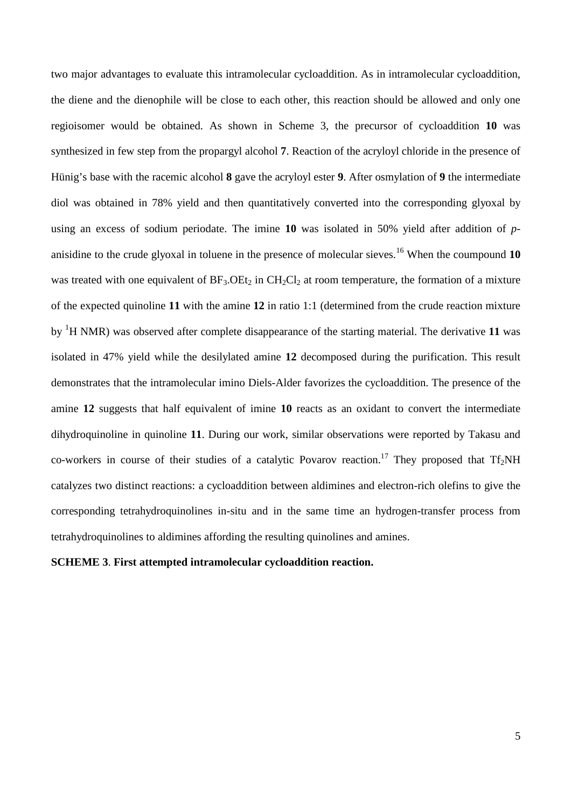two major advantages to evaluate this intramolecular cycloaddition. As in intramolecular cycloaddition, the diene and the dienophile will be close to each other, this reaction should be allowed and only one regioisomer would be obtained. As shown in Scheme 3, the precursor of cycloaddition **10** was synthesized in few step from the propargyl alcohol **7**. Reaction of the acryloyl chloride in the presence of Hünig's base with the racemic alcohol **8** gave the acryloyl ester **9**. After osmylation of **9** the intermediate diol was obtained in 78% yield and then quantitatively converted into the corresponding glyoxal by using an excess of sodium periodate. The imine **10** was isolated in 50% yield after addition of *p*anisidine to the crude glyoxal in toluene in the presence of molecular sieves.<sup>16</sup> When the coumpound  $10$ was treated with one equivalent of  $BF_3$ . OEt<sub>2</sub> in CH<sub>2</sub>Cl<sub>2</sub> at room temperature, the formation of a mixture of the expected quinoline **11** with the amine **12** in ratio 1:1 (determined from the crude reaction mixture by <sup>1</sup>H NMR) was observed after complete disappearance of the starting material. The derivative **11** was isolated in 47% yield while the desilylated amine **12** decomposed during the purification. This result demonstrates that the intramolecular imino Diels-Alder favorizes the cycloaddition. The presence of the amine **12** suggests that half equivalent of imine **10** reacts as an oxidant to convert the intermediate dihydroquinoline in quinoline **11**. During our work, similar observations were reported by Takasu and co-workers in course of their studies of a catalytic Povarov reaction.<sup>17</sup> They proposed that Tf<sub>2</sub>NH catalyzes two distinct reactions: a cycloaddition between aldimines and electron-rich olefins to give the corresponding tetrahydroquinolines in-situ and in the same time an hydrogen-transfer process from tetrahydroquinolines to aldimines affording the resulting quinolines and amines.

# **SCHEME 3**. **First attempted intramolecular cycloaddition reaction.**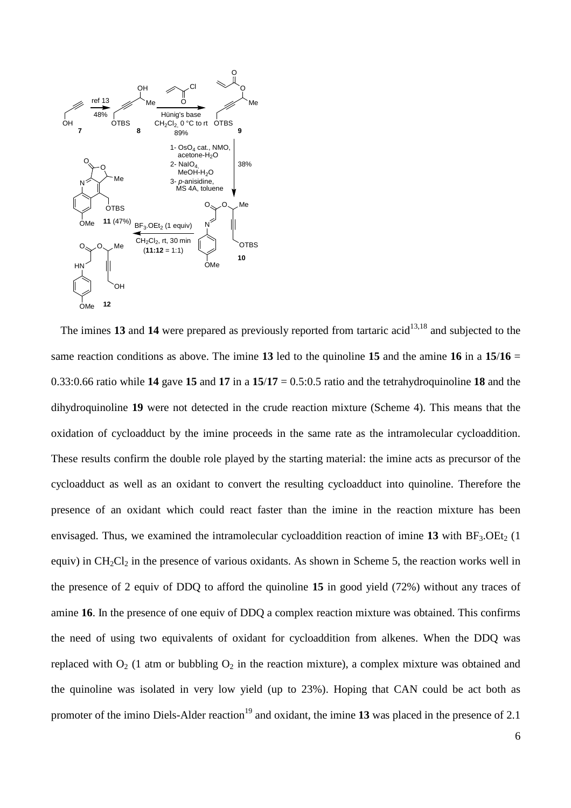

The imines 13 and 14 were prepared as previously reported from tartaric acid<sup>13,18</sup> and subjected to the same reaction conditions as above. The imine **13** led to the quinoline **15** and the amine **16** in a **15**/**16** = 0.33:0.66 ratio while **14** gave **15** and **17** in a **15**/**17** = 0.5:0.5 ratio and the tetrahydroquinoline **18** and the dihydroquinoline **19** were not detected in the crude reaction mixture (Scheme 4). This means that the oxidation of cycloadduct by the imine proceeds in the same rate as the intramolecular cycloaddition. These results confirm the double role played by the starting material: the imine acts as precursor of the cycloadduct as well as an oxidant to convert the resulting cycloadduct into quinoline. Therefore the presence of an oxidant which could react faster than the imine in the reaction mixture has been envisaged. Thus, we examined the intramolecular cycloaddition reaction of imine  $13$  with  $BF_3$ . OEt<sub>2</sub> (1) equiv) in  $CH_2Cl_2$  in the presence of various oxidants. As shown in Scheme 5, the reaction works well in the presence of 2 equiv of DDQ to afford the quinoline **15** in good yield (72%) without any traces of amine **16**. In the presence of one equiv of DDQ a complex reaction mixture was obtained. This confirms the need of using two equivalents of oxidant for cycloaddition from alkenes. When the DDQ was replaced with  $O_2$  (1 atm or bubbling  $O_2$  in the reaction mixture), a complex mixture was obtained and the quinoline was isolated in very low yield (up to 23%). Hoping that CAN could be act both as promoter of the imino Diels-Alder reaction<sup>19</sup> and oxidant, the imine 13 was placed in the presence of 2.1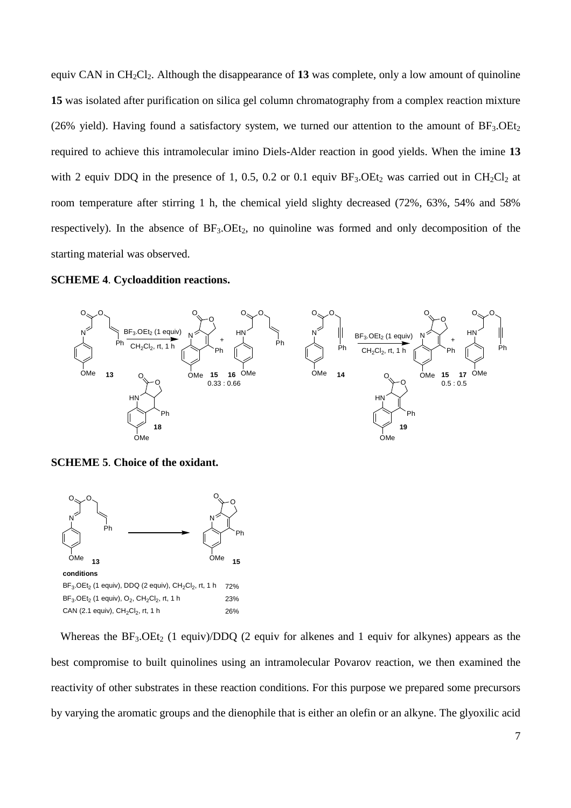equiv CAN in  $CH_2Cl_2$ . Although the disappearance of 13 was complete, only a low amount of quinoline **15** was isolated after purification on silica gel column chromatography from a complex reaction mixture (26% yield). Having found a satisfactory system, we turned our attention to the amount of  $BF_3.OEt_2$ required to achieve this intramolecular imino Diels-Alder reaction in good yields. When the imine **13** with 2 equiv DDQ in the presence of 1, 0.5, 0.2 or 0.1 equiv  $BF_3$ . OEt<sub>2</sub> was carried out in CH<sub>2</sub>Cl<sub>2</sub> at room temperature after stirring 1 h, the chemical yield slighty decreased (72%, 63%, 54% and 58% respectively). In the absence of  $BF_3.OEt_2$ , no quinoline was formed and only decomposition of the starting material was observed.

# **SCHEME 4**. **Cycloaddition reactions.**



**SCHEME 5**. **Choice of the oxidant.**



Whereas the  $BF_3$ . OEt<sub>2</sub> (1 equiv)/DDQ (2 equiv for alkenes and 1 equiv for alkynes) appears as the best compromise to built quinolines using an intramolecular Povarov reaction, we then examined the reactivity of other substrates in these reaction conditions. For this purpose we prepared some precursors by varying the aromatic groups and the dienophile that is either an olefin or an alkyne. The glyoxilic acid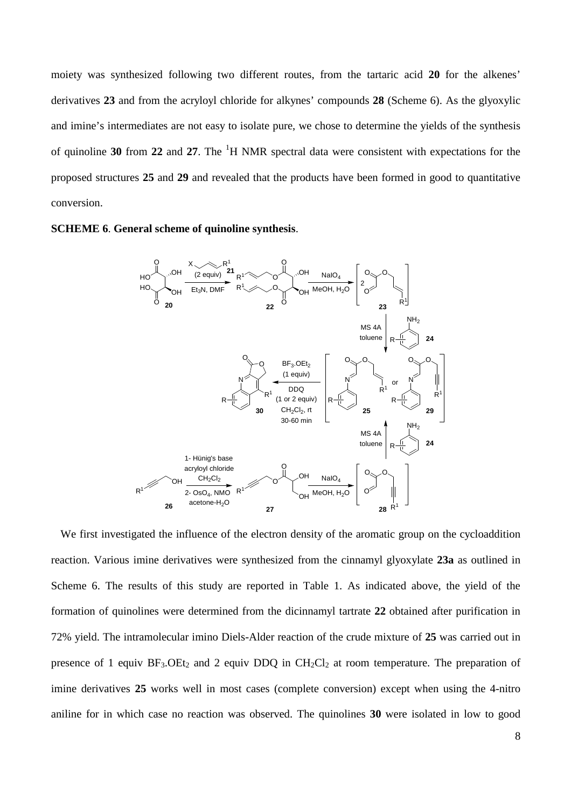moiety was synthesized following two different routes, from the tartaric acid **20** for the alkenes' derivatives **23** and from the acryloyl chloride for alkynes' compounds **28** (Scheme 6). As the glyoxylic and imine's intermediates are not easy to isolate pure, we chose to determine the yields of the synthesis of quinoline **30** from **22** and **27**. The <sup>1</sup>H NMR spectral data were consistent with expectations for the proposed structures **25** and **29** and revealed that the products have been formed in good to quantitative conversion.





We first investigated the influence of the electron density of the aromatic group on the cycloaddition reaction. Various imine derivatives were synthesized from the cinnamyl glyoxylate **23a** as outlined in Scheme 6. The results of this study are reported in Table 1. As indicated above, the yield of the formation of quinolines were determined from the dicinnamyl tartrate **22** obtained after purification in 72% yield. The intramolecular imino Diels-Alder reaction of the crude mixture of **25** was carried out in presence of 1 equiv  $BF_3$ . OEt<sub>2</sub> and 2 equiv DDQ in  $CH_2Cl_2$  at room temperature. The preparation of imine derivatives **25** works well in most cases (complete conversion) except when using the 4-nitro aniline for in which case no reaction was observed. The quinolines **30** were isolated in low to good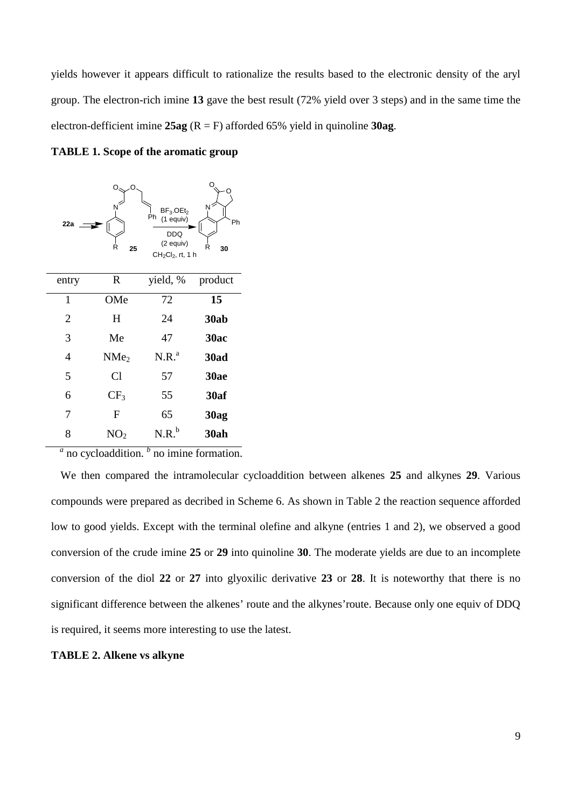yields however it appears difficult to rationalize the results based to the electronic density of the aryl group. The electron-rich imine **13** gave the best result (72% yield over 3 steps) and in the same time the electron-defficient imine **25ag** (R = F) afforded 65% yield in quinoline **30ag**.





<sup>*a*</sup> no cycloaddition. <sup>*b*</sup> no imine formation.

We then compared the intramolecular cycloaddition between alkenes **25** and alkynes **29**. Various compounds were prepared as decribed in Scheme 6. As shown in Table 2 the reaction sequence afforded low to good yields. Except with the terminal olefine and alkyne (entries 1 and 2), we observed a good conversion of the crude imine **25** or **29** into quinoline **30**. The moderate yields are due to an incomplete conversion of the diol **22** or **27** into glyoxilic derivative **23** or **28**. It is noteworthy that there is no significant difference between the alkenes' route and the alkynes'route. Because only one equiv of DDQ is required, it seems more interesting to use the latest.

#### **TABLE 2. Alkene vs alkyne**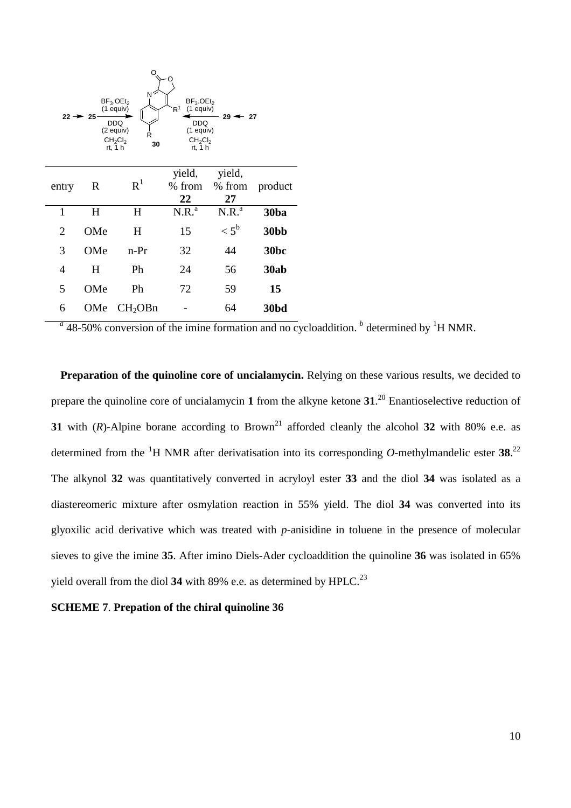

 $a<sup>a</sup>$  48-50% conversion of the imine formation and no cycloaddition. <sup>*b*</sup> determined by <sup>1</sup>H NMR.

**Preparation of the quinoline core of uncialamycin.** Relying on these various results, we decided to prepare the quinoline core of uncialamycin **1** from the alkyne ketone **31**. <sup>20</sup> Enantioselective reduction of **31** with ( $R$ )-Alpine borane according to Brown<sup>21</sup> afforded cleanly the alcohol **32** with 80% e.e. as determined from the <sup>1</sup>H NMR after derivatisation into its corresponding O-methylmandelic ester 38.<sup>22</sup> The alkynol **32** was quantitatively converted in acryloyl ester **33** and the diol **34** was isolated as a diastereomeric mixture after osmylation reaction in 55% yield. The diol **34** was converted into its glyoxilic acid derivative which was treated with *p*-anisidine in toluene in the presence of molecular sieves to give the imine **35**. After imino Diels-Ader cycloaddition the quinoline **36** was isolated in 65% yield overall from the diol 34 with 89% e.e. as determined by HPLC.<sup>23</sup>

# **SCHEME 7**. **Prepation of the chiral quinoline 36**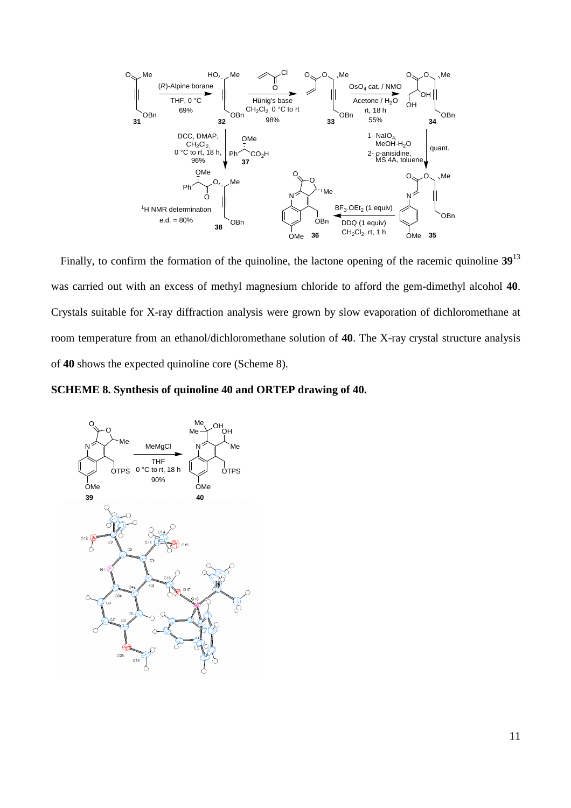

Finally, to confirm the formation of the quinoline, the lactone opening of the racemic quinoline **39**<sup>13</sup> was carried out with an excess of methyl magnesium chloride to afford the gem-dimethyl alcohol **40**. Crystals suitable for X-ray diffraction analysis were grown by slow evaporation of dichloromethane at room temperature from an ethanol/dichloromethane solution of **40**. The X-ray crystal structure analysis of **40** shows the expected quinoline core (Scheme 8).

**SCHEME 8. Synthesis of quinoline 40 and ORTEP drawing of 40.**

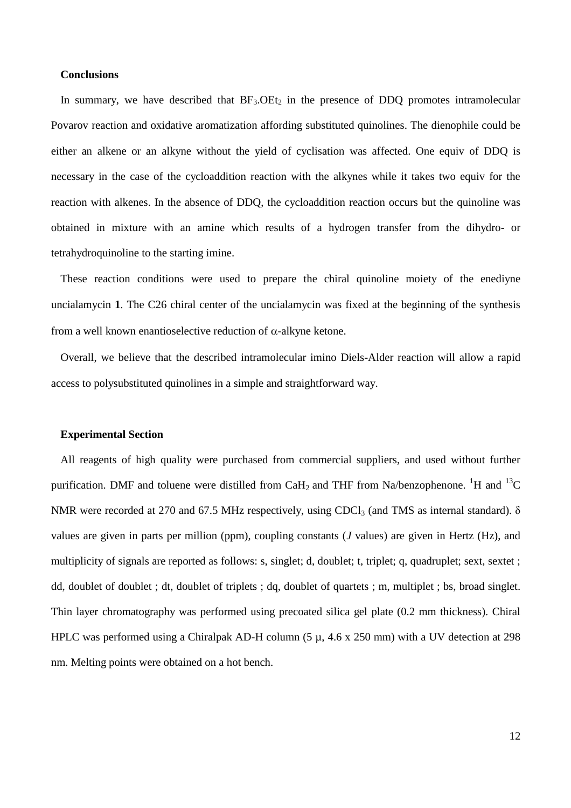### **Conclusions**

In summary, we have described that  $BF_3$ . OEt<sub>2</sub> in the presence of DDQ promotes intramolecular Povarov reaction and oxidative aromatization affording substituted quinolines. The dienophile could be either an alkene or an alkyne without the yield of cyclisation was affected. One equiv of DDQ is necessary in the case of the cycloaddition reaction with the alkynes while it takes two equiv for the reaction with alkenes. In the absence of DDQ, the cycloaddition reaction occurs but the quinoline was obtained in mixture with an amine which results of a hydrogen transfer from the dihydro- or tetrahydroquinoline to the starting imine.

These reaction conditions were used to prepare the chiral quinoline moiety of the enediyne uncialamycin **1**. The C26 chiral center of the uncialamycin was fixed at the beginning of the synthesis from a well known enantioselective reduction of  $\alpha$ -alkyne ketone.

Overall, we believe that the described intramolecular imino Diels-Alder reaction will allow a rapid access to polysubstituted quinolines in a simple and straightforward way.

#### **Experimental Section**

All reagents of high quality were purchased from commercial suppliers, and used without further purification. DMF and toluene were distilled from CaH<sub>2</sub> and THF from Na/benzophenone. <sup>1</sup>H and <sup>13</sup>C NMR were recorded at 270 and 67.5 MHz respectively, using CDCl<sub>3</sub> (and TMS as internal standard).  $\delta$ values are given in parts per million (ppm), coupling constants (*J* values) are given in Hertz (Hz), and multiplicity of signals are reported as follows: s, singlet; d, doublet; t, triplet; q, quadruplet; sext, sextet ; dd, doublet of doublet ; dt, doublet of triplets ; dq, doublet of quartets ; m, multiplet ; bs, broad singlet. Thin layer chromatography was performed using precoated silica gel plate (0.2 mm thickness). Chiral HPLC was performed using a Chiralpak AD-H column (5  $\mu$ , 4.6 x 250 mm) with a UV detection at 298 nm. Melting points were obtained on a hot bench.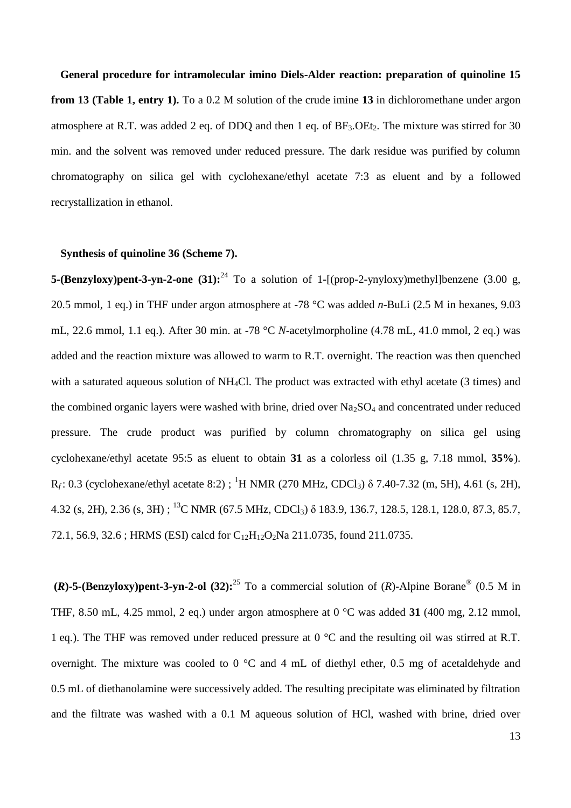**General procedure for intramolecular imino Diels-Alder reaction: preparation of quinoline 15 from 13 (Table 1, entry 1).** To a 0.2 M solution of the crude imine **13** in dichloromethane under argon atmosphere at R.T. was added 2 eq. of DDQ and then 1 eq. of  $BF_3$ . OEt<sub>2</sub>. The mixture was stirred for 30 min. and the solvent was removed under reduced pressure. The dark residue was purified by column chromatography on silica gel with cyclohexane/ethyl acetate 7:3 as eluent and by a followed recrystallization in ethanol.

#### **Synthesis of quinoline 36 (Scheme 7).**

**5-(Benzyloxy)pent-3-yn-2-one (31):**<sup>24</sup> To a solution of 1-[(prop-2-ynyloxy)methyl]benzene (3.00 g, 20.5 mmol, 1 eq.) in THF under argon atmosphere at -78 °C was added *n-*BuLi (2.5 M in hexanes, 9.03 mL, 22.6 mmol, 1.1 eq.). After 30 min. at -78 °C *N*-acetylmorpholine (4.78 mL, 41.0 mmol, 2 eq.) was added and the reaction mixture was allowed to warm to R.T. overnight. The reaction was then quenched with a saturated aqueous solution of NH<sub>4</sub>Cl. The product was extracted with ethyl acetate (3 times) and the combined organic layers were washed with brine, dried over  $Na<sub>2</sub>SO<sub>4</sub>$  and concentrated under reduced pressure. The crude product was purified by column chromatography on silica gel using cyclohexane/ethyl acetate 95:5 as eluent to obtain **31** as a colorless oil (1.35 g, 7.18 mmol, **35%**).  $R_f$ : 0.3 (cyclohexane/ethyl acetate 8:2) ; <sup>1</sup>H NMR (270 MHz, CDCl<sub>3</sub>) δ 7.40-7.32 (m, 5H), 4.61 (s, 2H), 4.32 (s, 2H), 2.36 (s, 3H) ; <sup>13</sup>C NMR (67.5 MHz, CDCl<sub>3</sub>)  $\delta$  183.9, 136.7, 128.5, 128.1, 128.0, 87.3, 85.7, 72.1, 56.9, 32.6; HRMS (ESI) calcd for  $C_{12}H_{12}O_2$ Na 211.0735, found 211.0735.

**(***R*)-5-(Benzyloxy)pent-3-yn-2-ol (32):<sup>25</sup> To a commercial solution of (*R*)-Alpine Borane<sup>®</sup> (0.5 M in THF, 8.50 mL, 4.25 mmol, 2 eq.) under argon atmosphere at 0 °C was added **31** (400 mg, 2.12 mmol, 1 eq.). The THF was removed under reduced pressure at 0 °C and the resulting oil was stirred at R.T. overnight. The mixture was cooled to 0 °C and 4 mL of diethyl ether, 0.5 mg of acetaldehyde and 0.5 mL of diethanolamine were successively added. The resulting precipitate was eliminated by filtration and the filtrate was washed with a 0.1 M aqueous solution of HCl, washed with brine, dried over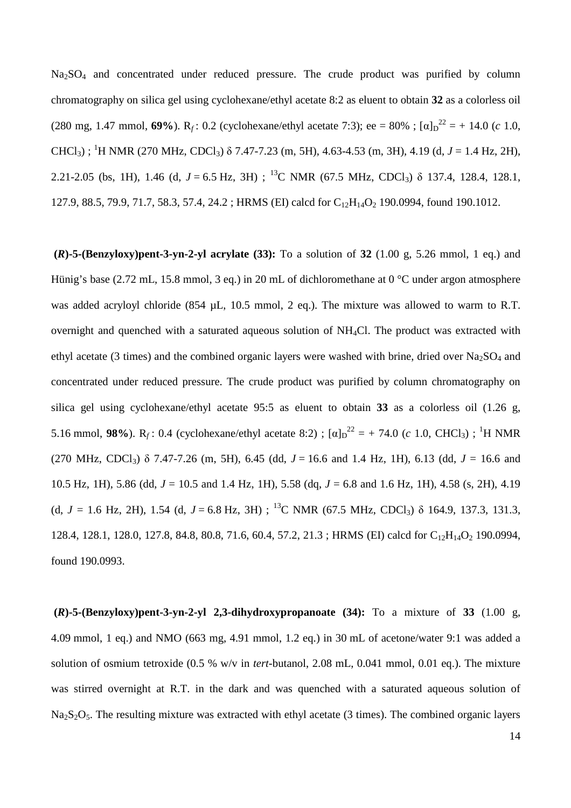Na<sub>2</sub>SO<sub>4</sub> and concentrated under reduced pressure. The crude product was purified by column chromatography on silica gel using cyclohexane/ethyl acetate 8:2 as eluent to obtain **32** as a colorless oil (280 mg, 1.47 mmol, **69%**). R<sub>f</sub>: 0.2 (cyclohexane/ethyl acetate 7:3); ee = 80% ;  $[\alpha]_D^{22} = +14.0$  (*c* 1.0, CHCl<sub>3</sub>); <sup>1</sup>H NMR (270 MHz, CDCl<sub>3</sub>)  $\delta$  7.47-7.23 (m, 5H), 4.63-4.53 (m, 3H), 4.19 (d, *J* = 1.4 Hz, 2H), 2.21-2.05 (bs, 1H), 1.46 (d,  $J = 6.5$  Hz, 3H); <sup>13</sup>C NMR (67.5 MHz, CDCl<sub>3</sub>)  $\delta$  137.4, 128.4, 128.1, 127.9, 88.5, 79.9, 71.7, 58.3, 57.4, 24.2; HRMS (EI) calcd for C<sub>12</sub>H<sub>14</sub>O<sub>2</sub> 190.0994, found 190.1012.

**(***R***)-5-(Benzyloxy)pent-3-yn-2-yl acrylate (33):** To a solution of **32** (1.00 g, 5.26 mmol, 1 eq.) and Hünig's base (2.72 mL, 15.8 mmol, 3 eq.) in 20 mL of dichloromethane at 0 °C under argon atmosphere was added acryloyl chloride (854 µL, 10.5 mmol, 2 eq.). The mixture was allowed to warm to R.T. overnight and quenched with a saturated aqueous solution of NH4Cl. The product was extracted with ethyl acetate (3 times) and the combined organic layers were washed with brine, dried over  $Na<sub>2</sub>SO<sub>4</sub>$  and concentrated under reduced pressure. The crude product was purified by column chromatography on silica gel using cyclohexane/ethyl acetate 95:5 as eluent to obtain **33** as a colorless oil (1.26 g, 5.16 mmol, 98%). R<sub>*f*</sub>: 0.4 (cyclohexane/ethyl acetate 8:2) ; [α]<sub>D</sub><sup>22</sup> = + 74.0 (*c* 1.0, CHCl<sub>3</sub>) ; <sup>1</sup>H NMR (270 MHz, CDCl<sub>3</sub>)  $\delta$  7.47-7.26 (m, 5H), 6.45 (dd,  $J = 16.6$  and 1.4 Hz, 1H), 6.13 (dd,  $J = 16.6$  and 10.5 Hz, 1H), 5.86 (dd, *J* = 10.5 and 1.4 Hz, 1H), 5.58 (dq, *J* = 6.8 and 1.6 Hz, 1H), 4.58 (s, 2H), 4.19 (d,  $J = 1.6$  Hz, 2H), 1.54 (d,  $J = 6.8$  Hz, 3H); <sup>13</sup>C NMR (67.5 MHz, CDCl<sub>3</sub>)  $\delta$  164.9, 137.3, 131.3, 128.4, 128.1, 128.0, 127.8, 84.8, 80.8, 71.6, 60.4, 57.2, 21.3; HRMS (EI) calcd for C<sub>12</sub>H<sub>14</sub>O<sub>2</sub> 190.0994, found 190.0993.

**(***R***)-5-(Benzyloxy)pent-3-yn-2-yl 2,3-dihydroxypropanoate (34):** To a mixture of **33** (1.00 g, 4.09 mmol, 1 eq.) and NMO (663 mg, 4.91 mmol, 1.2 eq.) in 30 mL of acetone/water 9:1 was added a solution of osmium tetroxide (0.5 % w/v in *tert-*butanol, 2.08 mL, 0.041 mmol, 0.01 eq.). The mixture was stirred overnight at R.T. in the dark and was quenched with a saturated aqueous solution of  $Na<sub>2</sub>S<sub>2</sub>O<sub>5</sub>$ . The resulting mixture was extracted with ethyl acetate (3 times). The combined organic layers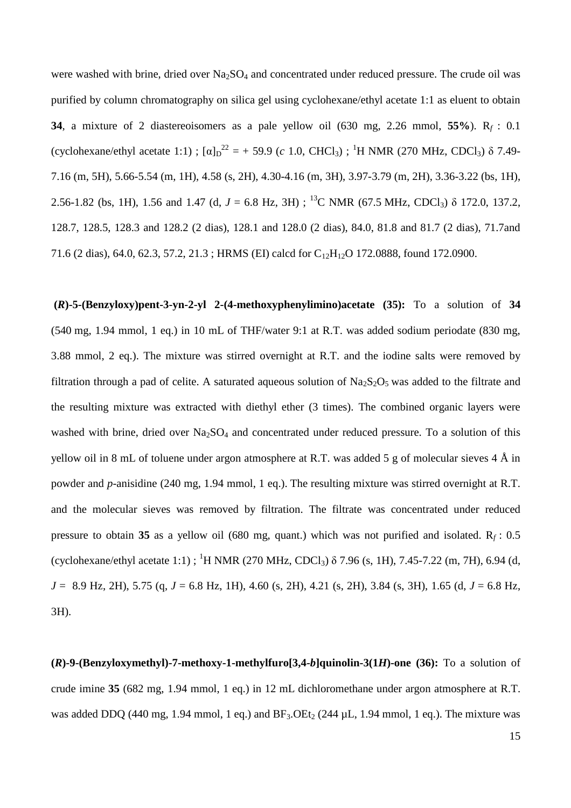were washed with brine, dried over Na<sub>2</sub>SO<sub>4</sub> and concentrated under reduced pressure. The crude oil was purified by column chromatography on silica gel using cyclohexane/ethyl acetate 1:1 as eluent to obtain **34**, a mixture of 2 diastereoisomers as a pale yellow oil (630 mg, 2.26 mmol, **55%**). R*<sup>f</sup>* : 0.1 (cyclohexane/ethyl acetate 1:1);  $[\alpha]_D^{22} = +59.9$  (*c* 1.0, CHCl<sub>3</sub>); <sup>1</sup>H NMR (270 MHz, CDCl<sub>3</sub>)  $\delta$  7.49-7.16 (m, 5H), 5.66-5.54 (m, 1H), 4.58 (s, 2H), 4.30-4.16 (m, 3H), 3.97-3.79 (m, 2H), 3.36-3.22 (bs, 1H), 2.56-1.82 (bs, 1H), 1.56 and 1.47 (d,  $J = 6.8$  Hz, 3H); <sup>13</sup>C NMR (67.5 MHz, CDCl<sub>3</sub>)  $\delta$  172.0, 137.2, 128.7, 128.5, 128.3 and 128.2 (2 dias), 128.1 and 128.0 (2 dias), 84.0, 81.8 and 81.7 (2 dias), 71.7and 71.6 (2 dias), 64.0, 62.3, 57.2, 21.3; HRMS (EI) calcd for C<sub>12</sub>H<sub>12</sub>O 172.0888, found 172.0900.

**(***R***)-5-(Benzyloxy)pent-3-yn-2-yl 2-(4-methoxyphenylimino)acetate (35):** To a solution of **34** (540 mg, 1.94 mmol, 1 eq.) in 10 mL of THF/water 9:1 at R.T. was added sodium periodate (830 mg, 3.88 mmol, 2 eq.). The mixture was stirred overnight at R.T. and the iodine salts were removed by filtration through a pad of celite. A saturated aqueous solution of  $Na<sub>2</sub>S<sub>2</sub>O<sub>5</sub>$  was added to the filtrate and the resulting mixture was extracted with diethyl ether (3 times). The combined organic layers were washed with brine, dried over  $Na<sub>2</sub>SO<sub>4</sub>$  and concentrated under reduced pressure. To a solution of this yellow oil in 8 mL of toluene under argon atmosphere at R.T. was added 5 g of molecular sieves 4  $\AA$  in powder and *p*-anisidine (240 mg, 1.94 mmol, 1 eq.). The resulting mixture was stirred overnight at R.T. and the molecular sieves was removed by filtration. The filtrate was concentrated under reduced pressure to obtain 35 as a yellow oil (680 mg, quant.) which was not purified and isolated.  $R_f$ : 0.5 (cyclohexane/ethyl acetate 1:1); <sup>1</sup>H NMR (270 MHz, CDCl<sub>3</sub>)  $\delta$  7.96 (s, 1H), 7.45-7.22 (m, 7H), 6.94 (d, *J* = 8.9 Hz, 2H), 5.75 (q, *J* = 6.8 Hz, 1H), 4.60 (s, 2H), 4.21 (s, 2H), 3.84 (s, 3H), 1.65 (d, *J* = 6.8 Hz, 3H).

**(***R***)-9-(Benzyloxymethyl)-7-methoxy-1-methylfuro[3,4-***b***]quinolin-3(1***H***)-one (36):** To a solution of crude imine **35** (682 mg, 1.94 mmol, 1 eq.) in 12 mL dichloromethane under argon atmosphere at R.T. was added DDQ (440 mg, 1.94 mmol, 1 eq.) and  $BF_3$ . OEt<sub>2</sub> (244  $\mu$ L, 1.94 mmol, 1 eq.). The mixture was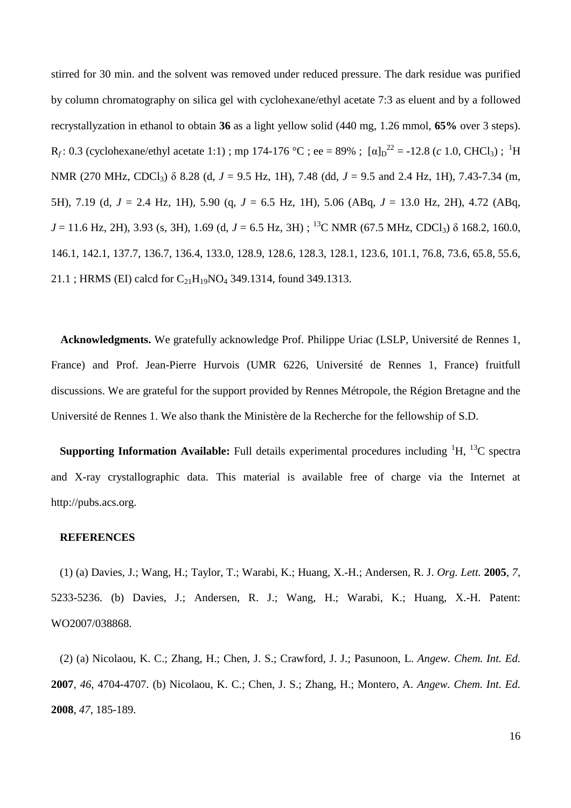stirred for 30 min. and the solvent was removed under reduced pressure. The dark residue was purified by column chromatography on silica gel with cyclohexane/ethyl acetate 7:3 as eluent and by a followed recrystallyzation in ethanol to obtain **36** as a light yellow solid (440 mg, 1.26 mmol, **65%** over 3 steps).  $R_f$ : 0.3 (cyclohexane/ethyl acetate 1:1); mp 174-176 °C; ee = 89%; [ $\alpha$ ]<sub>D</sub><sup>22</sup> = -12.8 (*c* 1.0, CHCl<sub>3</sub>); <sup>1</sup>H NMR (270 MHz, CDCl<sub>3</sub>) δ 8.28 (d, *J* = 9.5 Hz, 1H), 7.48 (dd, *J* = 9.5 and 2.4 Hz, 1H), 7.43-7.34 (m, 5H), 7.19 (d, *J* = 2.4 Hz, 1H), 5.90 (q, *J* = 6.5 Hz, 1H), 5.06 (ABq, *J* = 13.0 Hz, 2H), 4.72 (ABq,  $J = 11.6$  Hz, 2H), 3.93 (s, 3H), 1.69 (d,  $J = 6.5$  Hz, 3H); <sup>13</sup>C NMR (67.5 MHz, CDCl<sub>3</sub>)  $\delta$  168.2, 160.0, 146.1, 142.1, 137.7, 136.7, 136.4, 133.0, 128.9, 128.6, 128.3, 128.1, 123.6, 101.1, 76.8, 73.6, 65.8, 55.6, 21.1 ; HRMS (EI) calcd for  $C_{21}H_{19}NO_4$  349.1314, found 349.1313.

**Acknowledgments.** We gratefully acknowledge Prof. Philippe Uriac (LSLP, Université de Rennes 1, France) and Prof. Jean-Pierre Hurvois (UMR 6226, Université de Rennes 1, France) fruitfull discussions. We are grateful for the support provided by Rennes Métropole, the Région Bretagne and the Université de Rennes 1. We also thank the Ministère de la Recherche for the fellowship of S.D.

**Supporting Information Available:** Full details experimental procedures including  ${}^{1}H$ ,  ${}^{13}C$  spectra and X-ray crystallographic data. This material is available free of charge via the Internet at http://pubs.acs.org.

# **REFERENCES**

(1) (a) Davies, J.; Wang, H.; Taylor, T.; Warabi, K.; Huang, X.-H.; Andersen, R. J. *Org. Lett.* **2005**, *7*, 5233-5236. (b) Davies, J.; Andersen, R. J.; Wang, H.; Warabi, K.; Huang, X.-H. Patent: WO2007/038868.

(2) (a) Nicolaou, K. C.; Zhang, H.; Chen, J. S.; Crawford, J. J.; Pasunoon, L. *Angew. Chem. Int. Ed.* **2007**, *46*, 4704-4707. (b) Nicolaou, K. C.; Chen, J. S.; Zhang, H.; Montero, A. *Angew. Chem. Int. Ed.* **2008**, *47*, 185-189.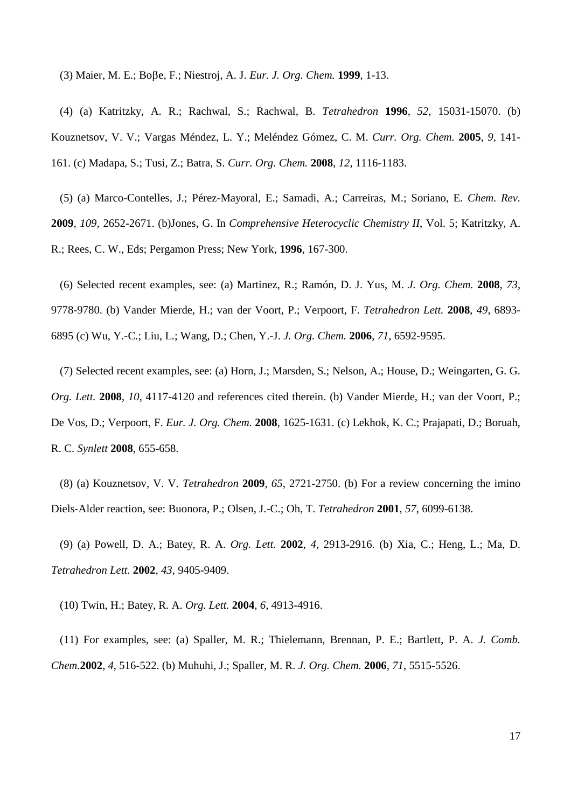(3) Maier, M. E.; Boe, F.; Niestroj, A. J. *Eur. J. Org. Chem.* **1999**, 1-13.

(4) (a) Katritzky, A. R.; Rachwal, S.; Rachwal, B. *Tetrahedron* **1996**, *52*, 15031-15070. (b) Kouznetsov, V. V.; Vargas Méndez, L. Y.; Meléndez Gómez, C. M. *Curr. Org. Chem.* **2005**, *9*, 141- 161. (c) Madapa, S.; Tusi, Z.; Batra, S. *Curr. Org. Chem.* **2008**, *12*, 1116-1183.

(5) (a) Marco-Contelles, J.; Pérez-Mayoral, E.; Samadi, A.; Carreiras, M.; Soriano, E. *Chem. Rev.* **2009**, *109*, 2652-2671. (b)Jones, G. In *Comprehensive Heterocyclic Chemistry II*, Vol. 5; Katritzky, A. R.; Rees, C. W., Eds; Pergamon Press; New York, **1996**, 167-300.

(6) Selected recent examples, see: (a) Martinez, R.; Ramón, D. J. Yus, M. *J. Org. Chem.* **2008**, *73*, 9778-9780. (b) Vander Mierde, H.; van der Voort, P.; Verpoort, F. *Tetrahedron Lett.* **2008**, *49*, 6893- 6895 (c) Wu, Y.-C.; Liu, L.; Wang, D.; Chen, Y.-J. *J. Org. Chem.* **2006**, *71*, 6592-9595.

(7) Selected recent examples, see: (a) Horn, J.; Marsden, S.; Nelson, A.; House, D.; Weingarten, G. G. *Org. Lett.* **2008**, *10*, 4117-4120 and references cited therein. (b) Vander Mierde, H.; van der Voort, P.; De Vos, D.; Verpoort, F. *Eur. J. Org. Chem.* **2008**, 1625-1631. (c) Lekhok, K. C.; Prajapati, D.; Boruah, R. C. *Synlett* **2008**, 655-658.

(8) (a) Kouznetsov, V. V. *Tetrahedron* **2009**, *65*, 2721-2750. (b) For a review concerning the imino Diels-Alder reaction, see: Buonora, P.; Olsen, J.-C.; Oh, T. *Tetrahedron* **2001**, *57*, 6099-6138.

(9) (a) Powell, D. A.; Batey, R. A. *Org. Lett.* **2002**, *4*, 2913-2916. (b) Xia, C.; Heng, L.; Ma, D. *Tetrahedron Lett.* **2002**, *43*, 9405-9409.

(10) Twin, H.; Batey, R. A. *Org. Lett.* **2004**, *6*, 4913-4916.

(11) For examples, see: (a) Spaller, M. R.; Thielemann, Brennan, P. E.; Bartlett, P. A. *J. Comb. Chem.***2002**, *4*, 516-522. (b) Muhuhi, J.; Spaller, M. R. *J. Org. Chem.* **2006**, *71*, 5515-5526.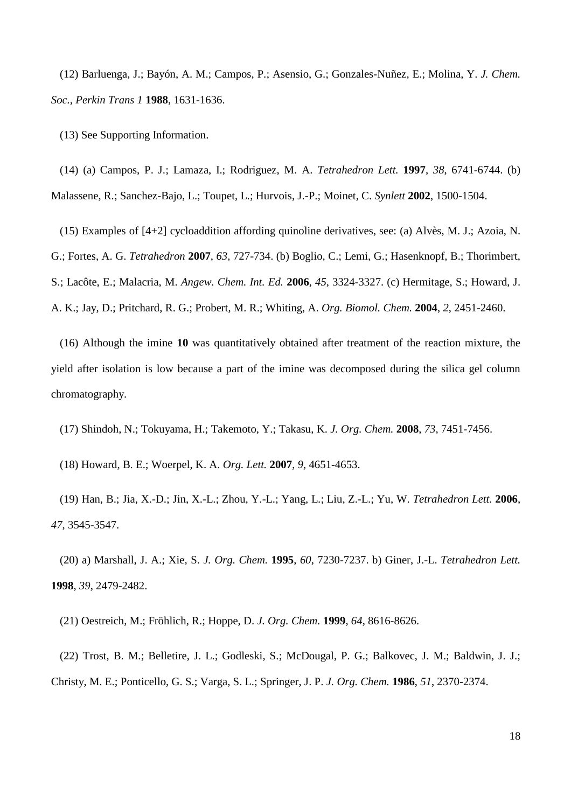(12) Barluenga, J.; Bayón, A. M.; Campos, P.; Asensio, G.; Gonzales-Nuñez, E.; Molina, Y. *J. Chem. Soc., Perkin Trans 1* **1988**, 1631-1636.

(13) See Supporting Information.

(14) (a) Campos, P. J.; Lamaza, I.; Rodriguez, M. A. *Tetrahedron Lett.* **1997**, *38*, 6741-6744. (b) Malassene, R.; Sanchez-Bajo, L.; Toupet, L.; Hurvois, J.-P.; Moinet, C. *Synlett* **2002**, 1500-1504.

(15) Examples of [4+2] cycloaddition affording quinoline derivatives, see: (a) Alvès, M. J.; Azoia, N. G.; Fortes, A. G. *Tetrahedron* **2007**, *63*, 727-734. (b) Boglio, C.; Lemi, G.; Hasenknopf, B.; Thorimbert, S.; Lacôte, E.; Malacria, M. *Angew. Chem. Int. Ed.* **2006**, *45*, 3324-3327. (c) Hermitage, S.; Howard, J. A. K.; Jay, D.; Pritchard, R. G.; Probert, M. R.; Whiting, A. *Org. Biomol. Chem.* **2004**, *2*, 2451-2460.

(16) Although the imine **10** was quantitatively obtained after treatment of the reaction mixture, the yield after isolation is low because a part of the imine was decomposed during the silica gel column chromatography.

(17) Shindoh, N.; Tokuyama, H.; Takemoto, Y.; Takasu, K. *J. Org. Chem.* **2008**, *73*, 7451-7456.

(18) Howard, B. E.; Woerpel, K. A. *Org. Lett.* **2007**, *9*, 4651-4653.

(19) Han, B.; Jia, X.-D.; Jin, X.-L.; Zhou, Y.-L.; Yang, L.; Liu, Z.-L.; Yu, W. *Tetrahedron Lett.* **2006**, *47*, 3545-3547.

(20) a) Marshall, J. A.; Xie, S. *J. Org. Chem.* **1995**, *60*, 7230-7237. b) Giner, J.-L. *Tetrahedron Lett.* **1998**, *39*, 2479-2482.

(21) Oestreich, M.; Fröhlich, R.; Hoppe, D. *J. Org. Chem.* **1999**, *64*, 8616-8626.

(22) Trost, B. M.; Belletire, J. L.; Godleski, S.; McDougal, P. G.; Balkovec, J. M.; Baldwin, J. J.; Christy, M. E.; Ponticello, G. S.; Varga, S. L.; Springer, J. P. *J. Org. Chem.* **1986**, *51*, 2370-2374.